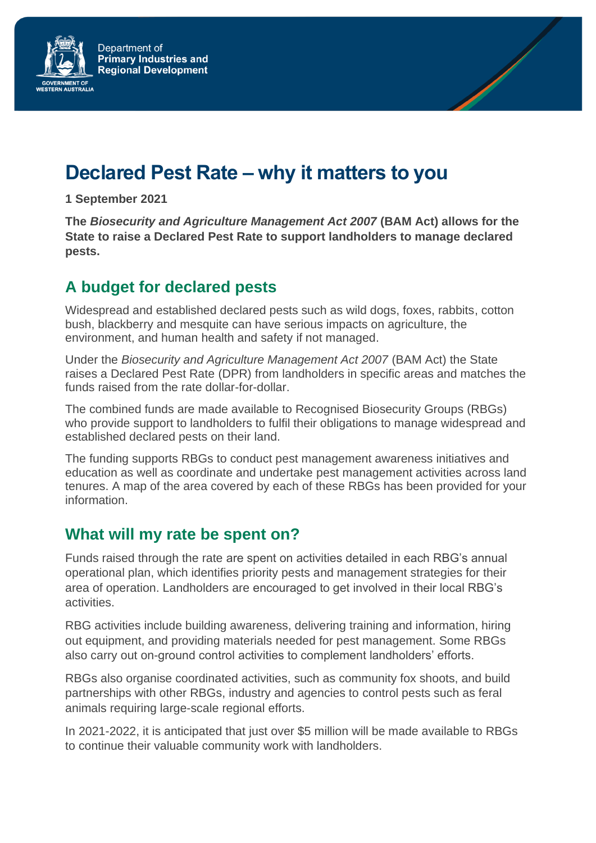

# **Declared Pest Rate – why it matters to you**

**1 September 2021**

**The** *Biosecurity and Agriculture Management Act 2007* **(BAM Act) allows for the State to raise a Declared Pest Rate to support landholders to manage declared pests.** 

## **A budget for declared pests**

Widespread and established declared pests such as wild dogs, foxes, rabbits, cotton bush, blackberry and mesquite can have serious impacts on agriculture, the environment, and human health and safety if not managed.

Under the *Biosecurity and Agriculture Management Act 2007* (BAM Act) the State raises a Declared Pest Rate (DPR) from landholders in specific areas and matches the funds raised from the rate dollar-for-dollar.

The combined funds are made available to Recognised Biosecurity Groups (RBGs) who provide support to landholders to fulfil their obligations to manage widespread and established declared pests on their land.

The funding supports RBGs to conduct pest management awareness initiatives and education as well as coordinate and undertake pest management activities across land tenures. A map of the area covered by each of these RBGs has been provided for your information.

### **What will my rate be spent on?**

Funds raised through the rate are spent on activities detailed in each RBG's annual operational plan, which identifies priority pests and management strategies for their area of operation. Landholders are encouraged to get involved in their local RBG's activities.

RBG activities include building awareness, delivering training and information, hiring out equipment, and providing materials needed for pest management. Some RBGs also carry out on-ground control activities to complement landholders' efforts.

RBGs also organise coordinated activities, such as community fox shoots, and build partnerships with other RBGs, industry and agencies to control pests such as feral animals requiring large-scale regional efforts.

In 2021-2022, it is anticipated that just over \$5 million will be made available to RBGs to continue their valuable community work with landholders.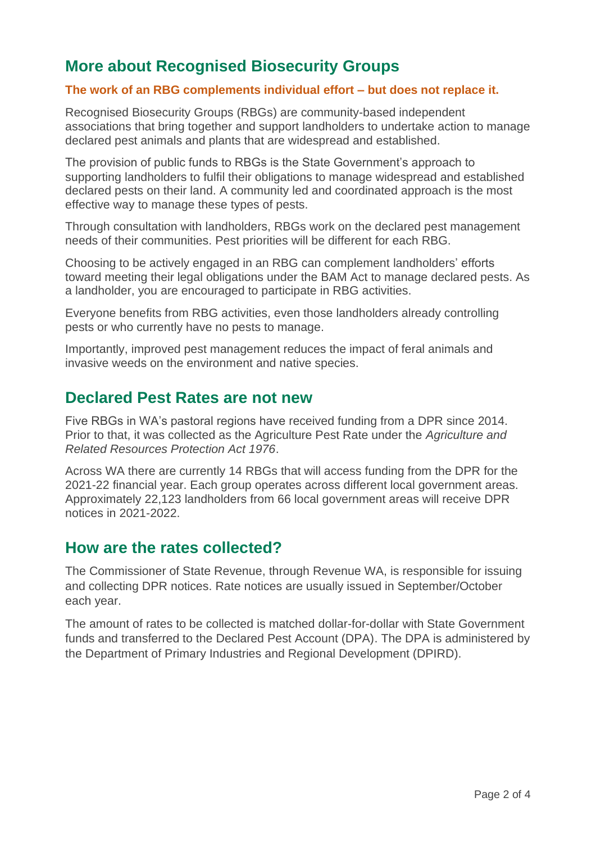## **More about Recognised Biosecurity Groups**

#### **The work of an RBG complements individual effort – but does not replace it.**

Recognised Biosecurity Groups (RBGs) are community-based independent associations that bring together and support landholders to undertake action to manage declared pest animals and plants that are widespread and established.

The provision of public funds to RBGs is the State Government's approach to supporting landholders to fulfil their obligations to manage widespread and established declared pests on their land. A community led and coordinated approach is the most effective way to manage these types of pests.

Through consultation with landholders, RBGs work on the declared pest management needs of their communities. Pest priorities will be different for each RBG.

Choosing to be actively engaged in an RBG can complement landholders' efforts toward meeting their legal obligations under the BAM Act to manage declared pests. As a landholder, you are encouraged to participate in RBG activities.

Everyone benefits from RBG activities, even those landholders already controlling pests or who currently have no pests to manage.

Importantly, improved pest management reduces the impact of feral animals and invasive weeds on the environment and native species.

#### **Declared Pest Rates are not new**

Five RBGs in WA's pastoral regions have received funding from a DPR since 2014. Prior to that, it was collected as the Agriculture Pest Rate under the *Agriculture and Related Resources Protection Act 1976*.

Across WA there are currently 14 RBGs that will access funding from the DPR for the 2021-22 financial year. Each group operates across different local government areas. Approximately 22,123 landholders from 66 local government areas will receive DPR notices in 2021-2022.

### **How are the rates collected?**

The Commissioner of State Revenue, through Revenue WA, is responsible for issuing and collecting DPR notices. Rate notices are usually issued in September/October each year.

The amount of rates to be collected is matched dollar-for-dollar with State Government funds and transferred to the Declared Pest Account (DPA). The DPA is administered by the Department of Primary Industries and Regional Development (DPIRD).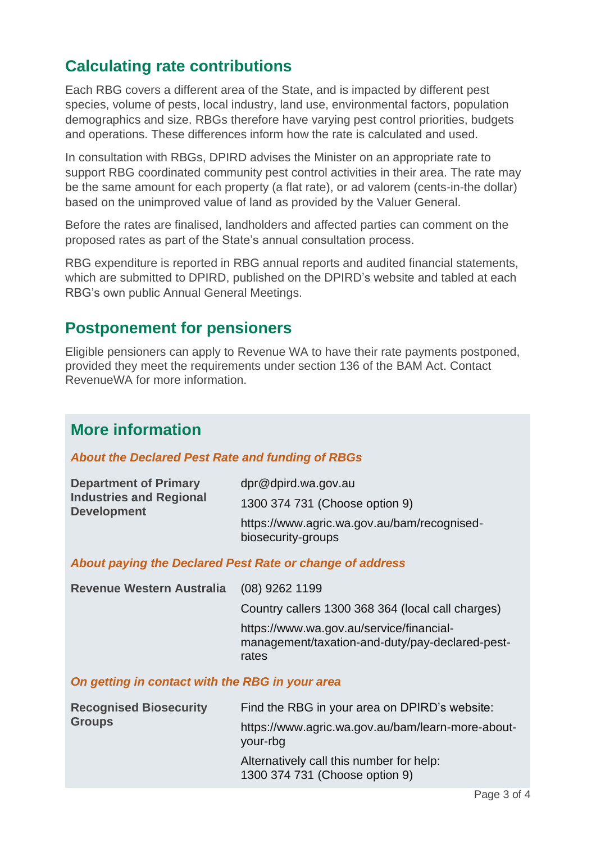## **Calculating rate contributions**

Each RBG covers a different area of the State, and is impacted by different pest species, volume of pests, local industry, land use, environmental factors, population demographics and size. RBGs therefore have varying pest control priorities, budgets and operations. These differences inform how the rate is calculated and used.

In consultation with RBGs, DPIRD advises the Minister on an appropriate rate to support RBG coordinated community pest control activities in their area. The rate may be the same amount for each property (a flat rate), or ad valorem (cents-in-the dollar) based on the unimproved value of land as provided by the Valuer General.

Before the rates are finalised, landholders and affected parties can comment on the proposed rates as part of the State's annual consultation process.

RBG expenditure is reported in RBG annual reports and audited financial statements, which are submitted to DPIRD, published on the DPIRD's website and tabled at each RBG's own public Annual General Meetings.

### **Postponement for pensioners**

Eligible pensioners can apply to Revenue WA to have their rate payments postponed, provided they meet the requirements under section 136 of the BAM Act. Contact RevenueWA for more information.

### **More information**

#### *About the Declared Pest Rate and funding of RBGs*

| <b>Department of Primary</b><br><b>Industries and Regional</b><br><b>Development</b> | dpr@dpird.wa.gov.au                                               |
|--------------------------------------------------------------------------------------|-------------------------------------------------------------------|
|                                                                                      | 1300 374 731 (Choose option 9)                                    |
|                                                                                      | https://www.agric.wa.gov.au/bam/recognised-<br>biosecurity-groups |

#### *About paying the Declared Pest Rate or change of address*

| <b>Revenue Western Australia</b>                | $(08)$ 9262 1199                                                                                     |
|-------------------------------------------------|------------------------------------------------------------------------------------------------------|
|                                                 | Country callers 1300 368 364 (local call charges)                                                    |
|                                                 | https://www.wa.gov.au/service/financial-<br>management/taxation-and-duty/pay-declared-pest-<br>rates |
| On getting in contact with the RBG in your area |                                                                                                      |

| <b>Recognised Biosecurity</b><br><b>Groups</b> | Find the RBG in your area on DPIRD's website:                              |
|------------------------------------------------|----------------------------------------------------------------------------|
|                                                | https://www.agric.wa.gov.au/bam/learn-more-about-<br>your-rbg              |
|                                                | Alternatively call this number for help:<br>1300 374 731 (Choose option 9) |